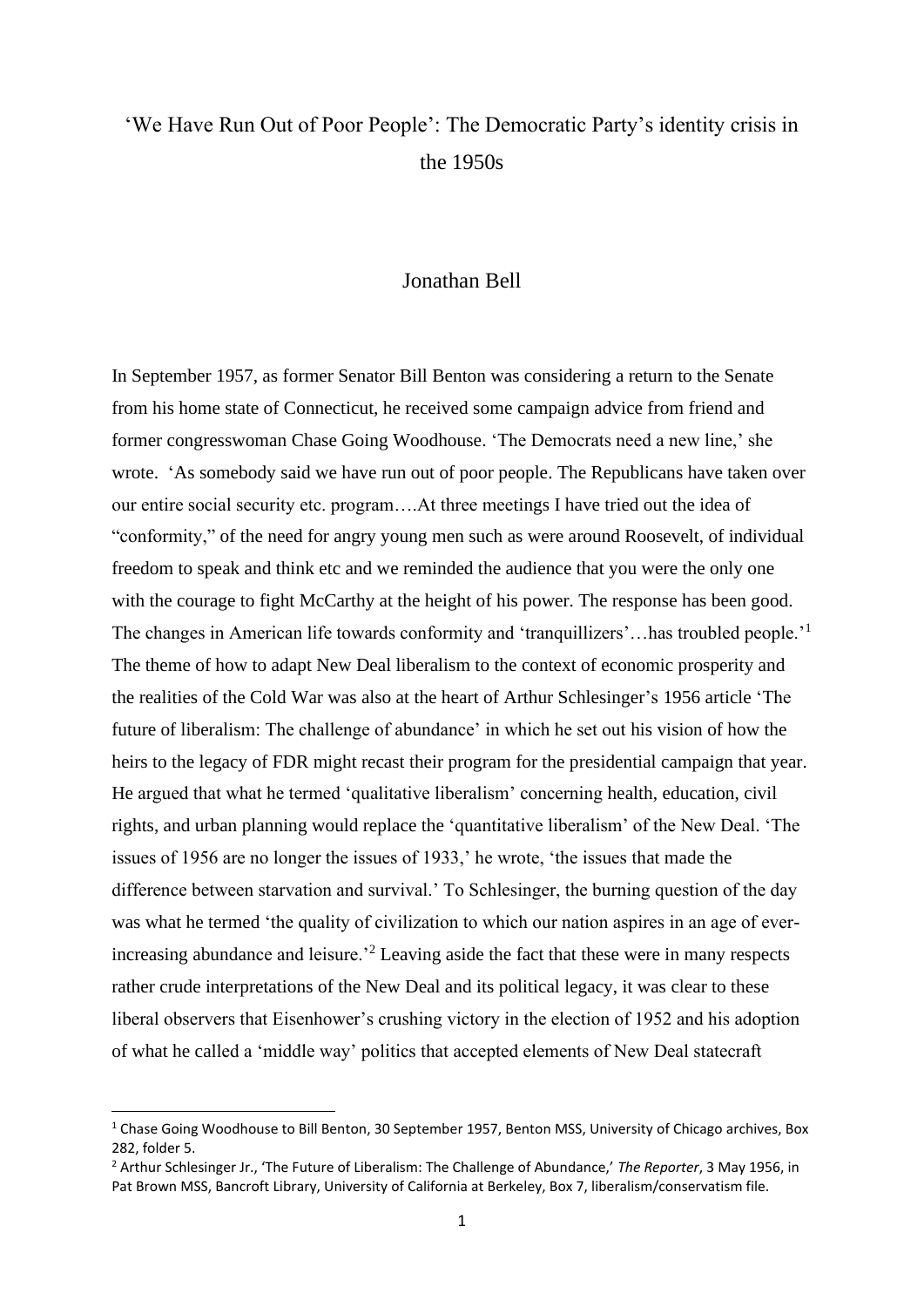## 'We Have Run Out of Poor People': The Democratic Party's identity crisis in the 1950s

## Jonathan Bell

In September 1957, as former Senator Bill Benton was considering a return to the Senate from his home state of Connecticut, he received some campaign advice from friend and former congresswoman Chase Going Woodhouse. 'The Democrats need a new line,' she wrote. 'As somebody said we have run out of poor people. The Republicans have taken over our entire social security etc. program….At three meetings I have tried out the idea of "conformity," of the need for angry young men such as were around Roosevelt, of individual freedom to speak and think etc and we reminded the audience that you were the only one with the courage to fight McCarthy at the height of his power. The response has been good. The changes in American life towards conformity and 'tranquillizers'...has troubled people.'<sup>1</sup> The theme of how to adapt New Deal liberalism to the context of economic prosperity and the realities of the Cold War was also at the heart of Arthur Schlesinger's 1956 article 'The future of liberalism: The challenge of abundance' in which he set out his vision of how the heirs to the legacy of FDR might recast their program for the presidential campaign that year. He argued that what he termed 'qualitative liberalism' concerning health, education, civil rights, and urban planning would replace the 'quantitative liberalism' of the New Deal. 'The issues of 1956 are no longer the issues of 1933,' he wrote, 'the issues that made the difference between starvation and survival.' To Schlesinger, the burning question of the day was what he termed 'the quality of civilization to which our nation aspires in an age of everincreasing abundance and leisure.'<sup>2</sup> Leaving aside the fact that these were in many respects rather crude interpretations of the New Deal and its political legacy, it was clear to these liberal observers that Eisenhower's crushing victory in the election of 1952 and his adoption of what he called a 'middle way' politics that accepted elements of New Deal statecraft

<sup>&</sup>lt;sup>1</sup> Chase Going Woodhouse to Bill Benton, 30 September 1957, Benton MSS, University of Chicago archives, Box 282, folder 5.

<sup>2</sup> Arthur Schlesinger Jr., 'The Future of Liberalism: The Challenge of Abundance,' *The Reporter*, 3 May 1956, in Pat Brown MSS, Bancroft Library, University of California at Berkeley, Box 7, liberalism/conservatism file.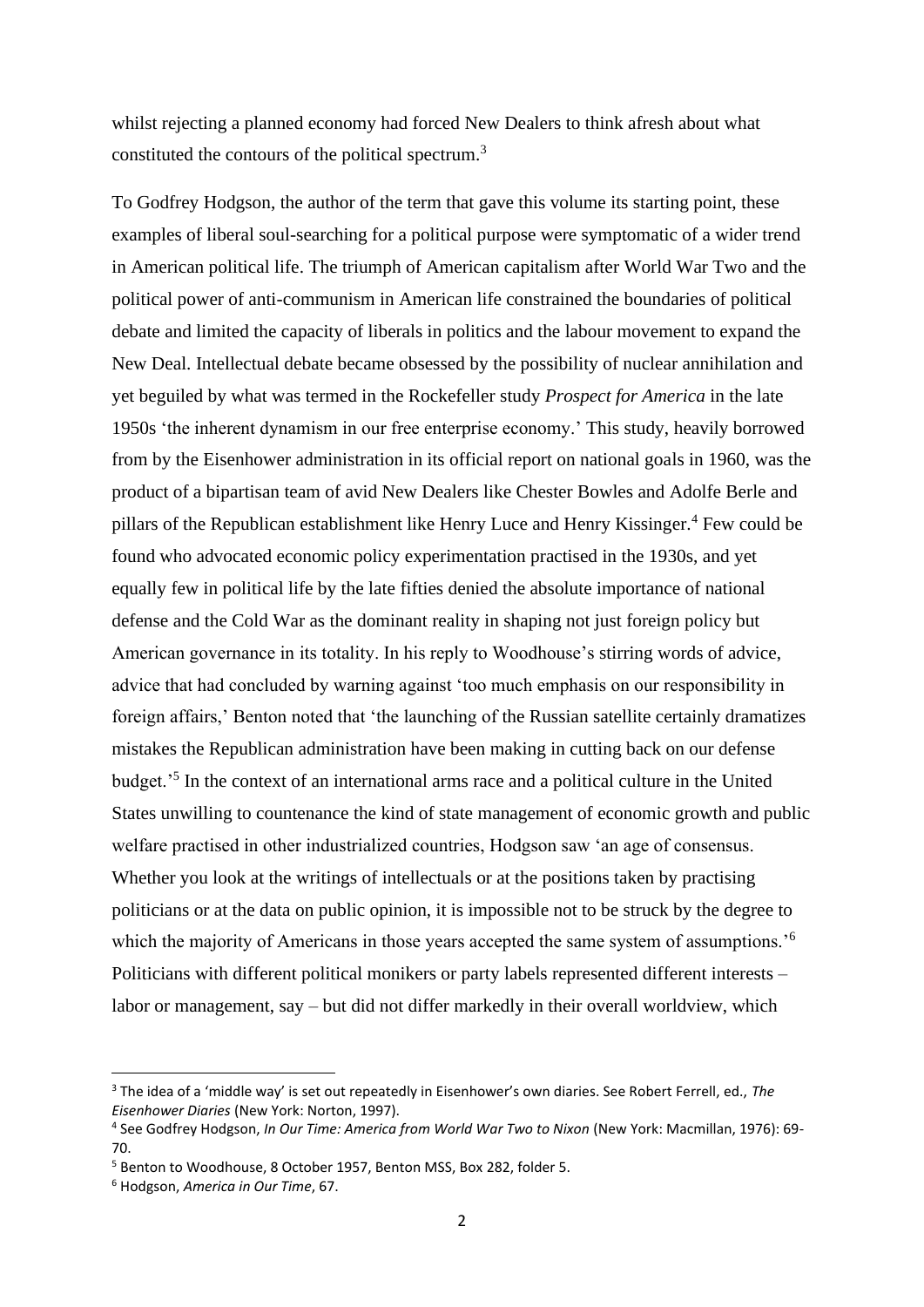whilst rejecting a planned economy had forced New Dealers to think afresh about what constituted the contours of the political spectrum.<sup>3</sup>

To Godfrey Hodgson, the author of the term that gave this volume its starting point, these examples of liberal soul-searching for a political purpose were symptomatic of a wider trend in American political life. The triumph of American capitalism after World War Two and the political power of anti-communism in American life constrained the boundaries of political debate and limited the capacity of liberals in politics and the labour movement to expand the New Deal. Intellectual debate became obsessed by the possibility of nuclear annihilation and yet beguiled by what was termed in the Rockefeller study *Prospect for America* in the late 1950s 'the inherent dynamism in our free enterprise economy.' This study, heavily borrowed from by the Eisenhower administration in its official report on national goals in 1960, was the product of a bipartisan team of avid New Dealers like Chester Bowles and Adolfe Berle and pillars of the Republican establishment like Henry Luce and Henry Kissinger.<sup>4</sup> Few could be found who advocated economic policy experimentation practised in the 1930s, and yet equally few in political life by the late fifties denied the absolute importance of national defense and the Cold War as the dominant reality in shaping not just foreign policy but American governance in its totality. In his reply to Woodhouse's stirring words of advice, advice that had concluded by warning against 'too much emphasis on our responsibility in foreign affairs,' Benton noted that 'the launching of the Russian satellite certainly dramatizes mistakes the Republican administration have been making in cutting back on our defense budget.'<sup>5</sup> In the context of an international arms race and a political culture in the United States unwilling to countenance the kind of state management of economic growth and public welfare practised in other industrialized countries, Hodgson saw 'an age of consensus. Whether you look at the writings of intellectuals or at the positions taken by practising politicians or at the data on public opinion, it is impossible not to be struck by the degree to which the majority of Americans in those years accepted the same system of assumptions.<sup>'6</sup> Politicians with different political monikers or party labels represented different interests – labor or management, say – but did not differ markedly in their overall worldview, which

<sup>3</sup> The idea of a 'middle way' is set out repeatedly in Eisenhower's own diaries. See Robert Ferrell, ed., *The Eisenhower Diaries* (New York: Norton, 1997).

<sup>4</sup> See Godfrey Hodgson, *In Our Time: America from World War Two to Nixon* (New York: Macmillan, 1976): 69- 70.

<sup>&</sup>lt;sup>5</sup> Benton to Woodhouse, 8 October 1957, Benton MSS, Box 282, folder 5.

<sup>6</sup> Hodgson, *America in Our Time*, 67.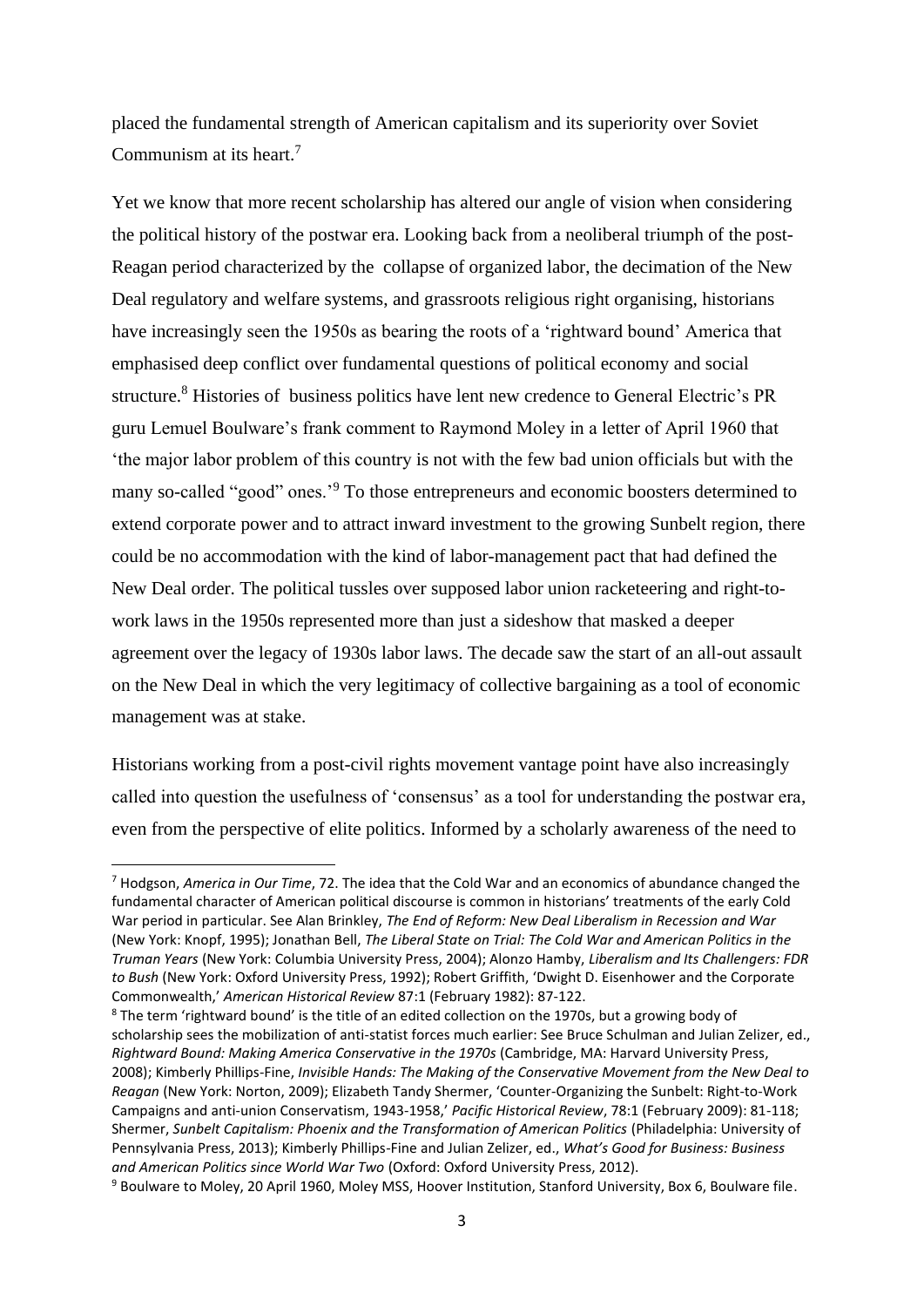placed the fundamental strength of American capitalism and its superiority over Soviet Communism at its heart.<sup>7</sup>

Yet we know that more recent scholarship has altered our angle of vision when considering the political history of the postwar era. Looking back from a neoliberal triumph of the post-Reagan period characterized by the collapse of organized labor, the decimation of the New Deal regulatory and welfare systems, and grassroots religious right organising, historians have increasingly seen the 1950s as bearing the roots of a 'rightward bound' America that emphasised deep conflict over fundamental questions of political economy and social structure.<sup>8</sup> Histories of business politics have lent new credence to General Electric's PR guru Lemuel Boulware's frank comment to Raymond Moley in a letter of April 1960 that 'the major labor problem of this country is not with the few bad union officials but with the many so-called "good" ones.'<sup>9</sup> To those entrepreneurs and economic boosters determined to extend corporate power and to attract inward investment to the growing Sunbelt region, there could be no accommodation with the kind of labor-management pact that had defined the New Deal order. The political tussles over supposed labor union racketeering and right-towork laws in the 1950s represented more than just a sideshow that masked a deeper agreement over the legacy of 1930s labor laws. The decade saw the start of an all-out assault on the New Deal in which the very legitimacy of collective bargaining as a tool of economic management was at stake.

Historians working from a post-civil rights movement vantage point have also increasingly called into question the usefulness of 'consensus' as a tool for understanding the postwar era, even from the perspective of elite politics. Informed by a scholarly awareness of the need to

<sup>7</sup> Hodgson, *America in Our Time*, 72. The idea that the Cold War and an economics of abundance changed the fundamental character of American political discourse is common in historians' treatments of the early Cold War period in particular. See Alan Brinkley, *The End of Reform: New Deal Liberalism in Recession and War*  (New York: Knopf, 1995); Jonathan Bell, *The Liberal State on Trial: The Cold War and American Politics in the Truman Years* (New York: Columbia University Press, 2004); Alonzo Hamby, *Liberalism and Its Challengers: FDR to Bush* (New York: Oxford University Press, 1992); Robert Griffith, 'Dwight D. Eisenhower and the Corporate Commonwealth,' *American Historical Review* 87:1 (February 1982): 87-122.

<sup>&</sup>lt;sup>8</sup> The term 'rightward bound' is the title of an edited collection on the 1970s, but a growing body of scholarship sees the mobilization of anti-statist forces much earlier: See Bruce Schulman and Julian Zelizer, ed., *Rightward Bound: Making America Conservative in the 1970s* (Cambridge, MA: Harvard University Press, 2008); Kimberly Phillips-Fine, *Invisible Hands: The Making of the Conservative Movement from the New Deal to Reagan* (New York: Norton, 2009); Elizabeth Tandy Shermer, 'Counter-Organizing the Sunbelt: Right-to-Work Campaigns and anti-union Conservatism, 1943-1958,' *Pacific Historical Review*, 78:1 (February 2009): 81-118; Shermer, *Sunbelt Capitalism: Phoenix and the Transformation of American Politics* (Philadelphia: University of Pennsylvania Press, 2013); Kimberly Phillips-Fine and Julian Zelizer, ed., *What's Good for Business: Business and American Politics since World War Two* (Oxford: Oxford University Press, 2012).

<sup>9</sup> Boulware to Moley, 20 April 1960, Moley MSS, Hoover Institution, Stanford University, Box 6, Boulware file.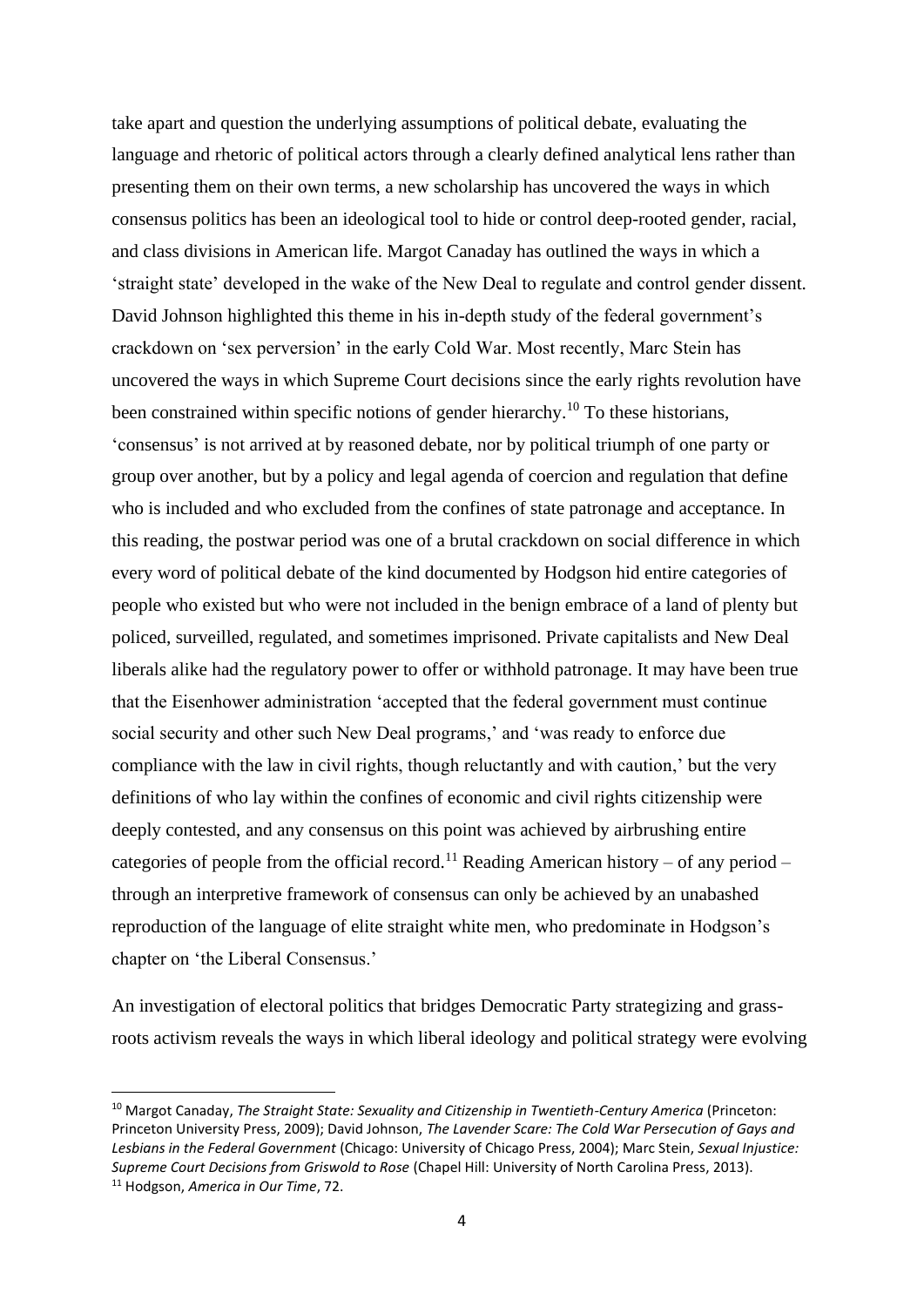take apart and question the underlying assumptions of political debate, evaluating the language and rhetoric of political actors through a clearly defined analytical lens rather than presenting them on their own terms, a new scholarship has uncovered the ways in which consensus politics has been an ideological tool to hide or control deep-rooted gender, racial, and class divisions in American life. Margot Canaday has outlined the ways in which a 'straight state' developed in the wake of the New Deal to regulate and control gender dissent. David Johnson highlighted this theme in his in-depth study of the federal government's crackdown on 'sex perversion' in the early Cold War. Most recently, Marc Stein has uncovered the ways in which Supreme Court decisions since the early rights revolution have been constrained within specific notions of gender hierarchy.<sup>10</sup> To these historians, 'consensus' is not arrived at by reasoned debate, nor by political triumph of one party or group over another, but by a policy and legal agenda of coercion and regulation that define who is included and who excluded from the confines of state patronage and acceptance. In this reading, the postwar period was one of a brutal crackdown on social difference in which every word of political debate of the kind documented by Hodgson hid entire categories of people who existed but who were not included in the benign embrace of a land of plenty but policed, surveilled, regulated, and sometimes imprisoned. Private capitalists and New Deal liberals alike had the regulatory power to offer or withhold patronage. It may have been true that the Eisenhower administration 'accepted that the federal government must continue social security and other such New Deal programs,' and 'was ready to enforce due compliance with the law in civil rights, though reluctantly and with caution,' but the very definitions of who lay within the confines of economic and civil rights citizenship were deeply contested, and any consensus on this point was achieved by airbrushing entire categories of people from the official record.<sup>11</sup> Reading American history – of any period – through an interpretive framework of consensus can only be achieved by an unabashed reproduction of the language of elite straight white men, who predominate in Hodgson's chapter on 'the Liberal Consensus.'

An investigation of electoral politics that bridges Democratic Party strategizing and grassroots activism reveals the ways in which liberal ideology and political strategy were evolving

<sup>&</sup>lt;sup>10</sup> Margot Canaday, *The Straight State: Sexuality and Citizenship in Twentieth-Century America (Princeton:* Princeton University Press, 2009); David Johnson, *The Lavender Scare: The Cold War Persecution of Gays and Lesbians in the Federal Government* (Chicago: University of Chicago Press, 2004); Marc Stein, *Sexual Injustice: Supreme Court Decisions from Griswold to Rose* (Chapel Hill: University of North Carolina Press, 2013). <sup>11</sup> Hodgson, *America in Our Time*, 72.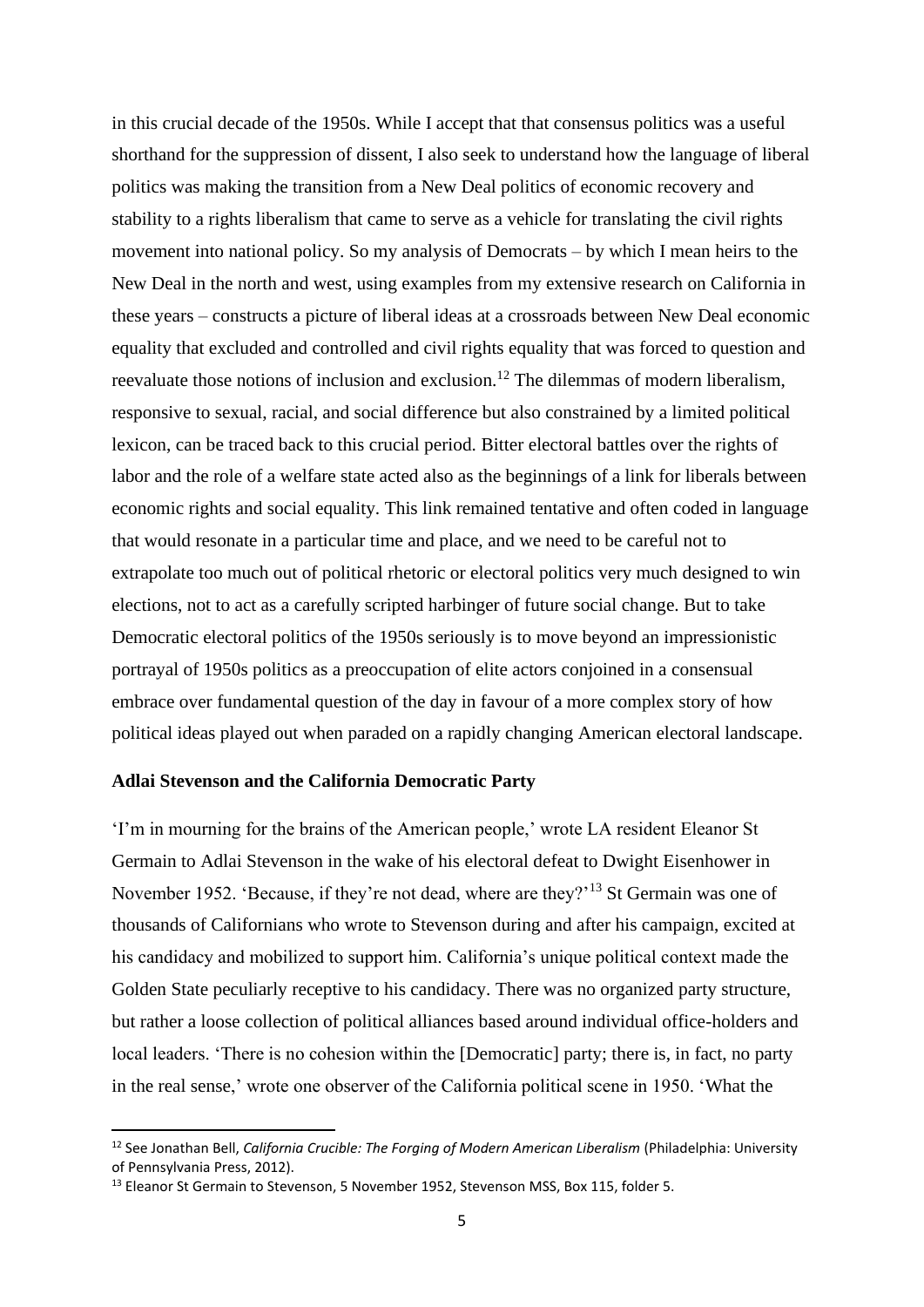in this crucial decade of the 1950s. While I accept that that consensus politics was a useful shorthand for the suppression of dissent, I also seek to understand how the language of liberal politics was making the transition from a New Deal politics of economic recovery and stability to a rights liberalism that came to serve as a vehicle for translating the civil rights movement into national policy. So my analysis of Democrats – by which I mean heirs to the New Deal in the north and west, using examples from my extensive research on California in these years – constructs a picture of liberal ideas at a crossroads between New Deal economic equality that excluded and controlled and civil rights equality that was forced to question and reevaluate those notions of inclusion and exclusion.<sup>12</sup> The dilemmas of modern liberalism, responsive to sexual, racial, and social difference but also constrained by a limited political lexicon, can be traced back to this crucial period. Bitter electoral battles over the rights of labor and the role of a welfare state acted also as the beginnings of a link for liberals between economic rights and social equality. This link remained tentative and often coded in language that would resonate in a particular time and place, and we need to be careful not to extrapolate too much out of political rhetoric or electoral politics very much designed to win elections, not to act as a carefully scripted harbinger of future social change. But to take Democratic electoral politics of the 1950s seriously is to move beyond an impressionistic portrayal of 1950s politics as a preoccupation of elite actors conjoined in a consensual embrace over fundamental question of the day in favour of a more complex story of how political ideas played out when paraded on a rapidly changing American electoral landscape.

## **Adlai Stevenson and the California Democratic Party**

'I'm in mourning for the brains of the American people,' wrote LA resident Eleanor St Germain to Adlai Stevenson in the wake of his electoral defeat to Dwight Eisenhower in November 1952. 'Because, if they're not dead, where are they?'<sup>13</sup> St Germain was one of thousands of Californians who wrote to Stevenson during and after his campaign, excited at his candidacy and mobilized to support him. California's unique political context made the Golden State peculiarly receptive to his candidacy. There was no organized party structure, but rather a loose collection of political alliances based around individual office-holders and local leaders. 'There is no cohesion within the [Democratic] party; there is, in fact, no party in the real sense,' wrote one observer of the California political scene in 1950. 'What the

<sup>12</sup> See Jonathan Bell, *California Crucible: The Forging of Modern American Liberalism* (Philadelphia: University of Pennsylvania Press, 2012).

<sup>&</sup>lt;sup>13</sup> Eleanor St Germain to Stevenson, 5 November 1952, Stevenson MSS, Box 115, folder 5.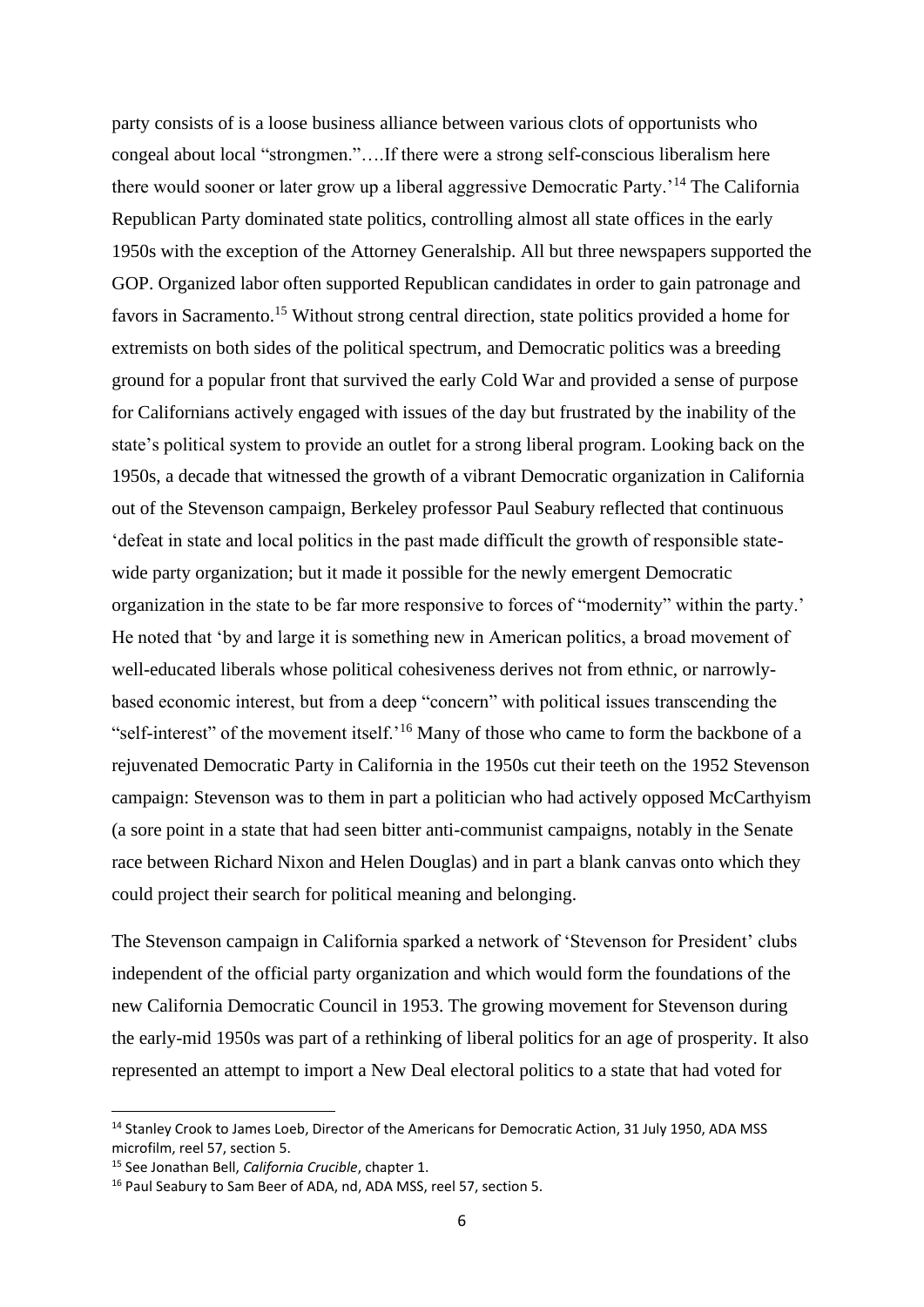party consists of is a loose business alliance between various clots of opportunists who congeal about local "strongmen."….If there were a strong self-conscious liberalism here there would sooner or later grow up a liberal aggressive Democratic Party.'<sup>14</sup> The California Republican Party dominated state politics, controlling almost all state offices in the early 1950s with the exception of the Attorney Generalship. All but three newspapers supported the GOP. Organized labor often supported Republican candidates in order to gain patronage and favors in Sacramento.<sup>15</sup> Without strong central direction, state politics provided a home for extremists on both sides of the political spectrum, and Democratic politics was a breeding ground for a popular front that survived the early Cold War and provided a sense of purpose for Californians actively engaged with issues of the day but frustrated by the inability of the state's political system to provide an outlet for a strong liberal program. Looking back on the 1950s, a decade that witnessed the growth of a vibrant Democratic organization in California out of the Stevenson campaign, Berkeley professor Paul Seabury reflected that continuous 'defeat in state and local politics in the past made difficult the growth of responsible statewide party organization; but it made it possible for the newly emergent Democratic organization in the state to be far more responsive to forces of "modernity" within the party.' He noted that 'by and large it is something new in American politics, a broad movement of well-educated liberals whose political cohesiveness derives not from ethnic, or narrowlybased economic interest, but from a deep "concern" with political issues transcending the "self-interest" of the movement itself.<sup>'16</sup> Many of those who came to form the backbone of a rejuvenated Democratic Party in California in the 1950s cut their teeth on the 1952 Stevenson campaign: Stevenson was to them in part a politician who had actively opposed McCarthyism (a sore point in a state that had seen bitter anti-communist campaigns, notably in the Senate race between Richard Nixon and Helen Douglas) and in part a blank canvas onto which they could project their search for political meaning and belonging.

The Stevenson campaign in California sparked a network of 'Stevenson for President' clubs independent of the official party organization and which would form the foundations of the new California Democratic Council in 1953. The growing movement for Stevenson during the early-mid 1950s was part of a rethinking of liberal politics for an age of prosperity. It also represented an attempt to import a New Deal electoral politics to a state that had voted for

<sup>&</sup>lt;sup>14</sup> Stanley Crook to James Loeb, Director of the Americans for Democratic Action, 31 July 1950, ADA MSS microfilm, reel 57, section 5.

<sup>15</sup> See Jonathan Bell, *California Crucible*, chapter 1.

<sup>&</sup>lt;sup>16</sup> Paul Seabury to Sam Beer of ADA, nd, ADA MSS, reel 57, section 5.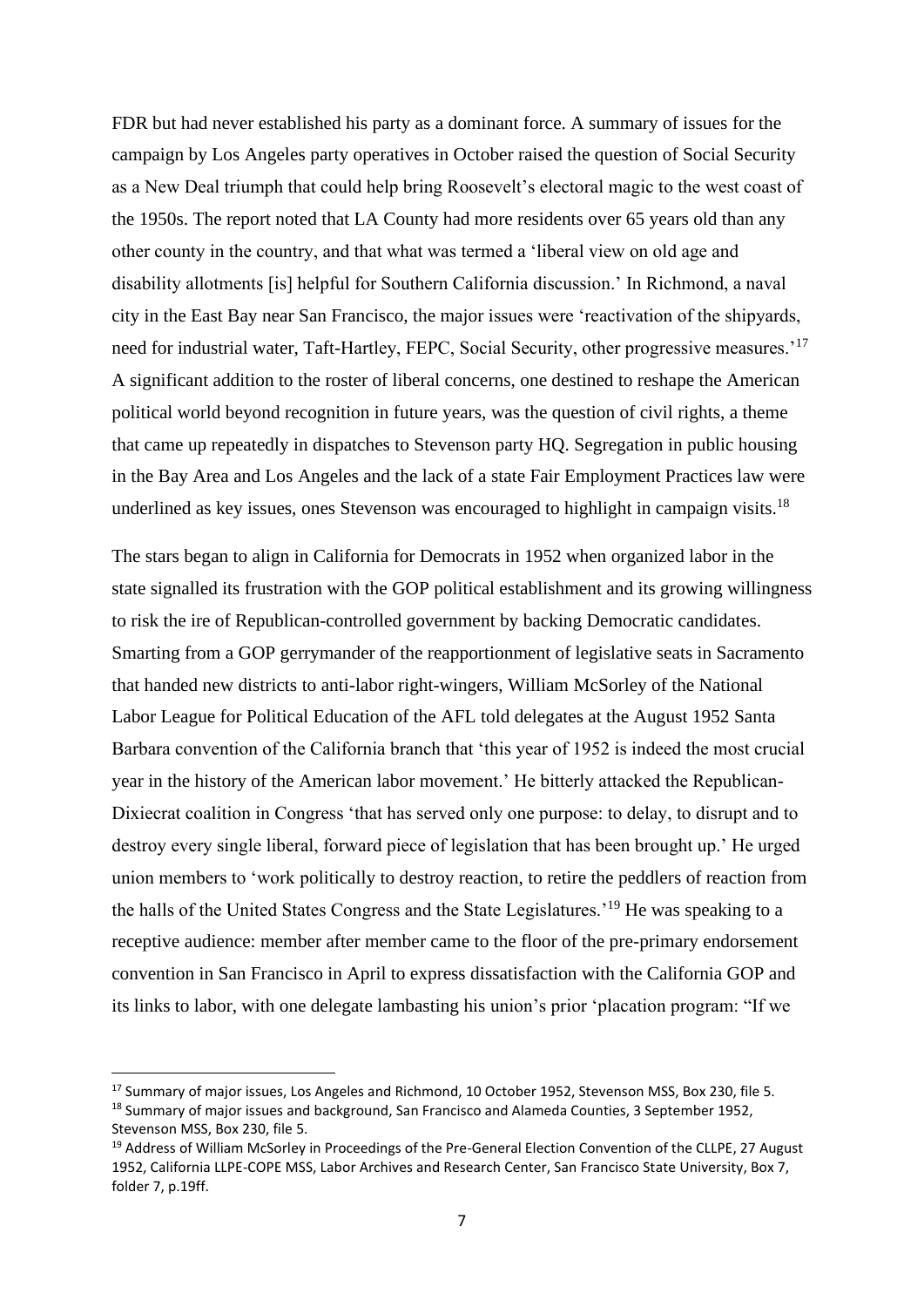FDR but had never established his party as a dominant force. A summary of issues for the campaign by Los Angeles party operatives in October raised the question of Social Security as a New Deal triumph that could help bring Roosevelt's electoral magic to the west coast of the 1950s. The report noted that LA County had more residents over 65 years old than any other county in the country, and that what was termed a 'liberal view on old age and disability allotments [is] helpful for Southern California discussion.' In Richmond, a naval city in the East Bay near San Francisco, the major issues were 'reactivation of the shipyards, need for industrial water, Taft-Hartley, FEPC, Social Security, other progressive measures.'<sup>17</sup> A significant addition to the roster of liberal concerns, one destined to reshape the American political world beyond recognition in future years, was the question of civil rights, a theme that came up repeatedly in dispatches to Stevenson party HQ. Segregation in public housing in the Bay Area and Los Angeles and the lack of a state Fair Employment Practices law were underlined as key issues, ones Stevenson was encouraged to highlight in campaign visits.<sup>18</sup>

The stars began to align in California for Democrats in 1952 when organized labor in the state signalled its frustration with the GOP political establishment and its growing willingness to risk the ire of Republican-controlled government by backing Democratic candidates. Smarting from a GOP gerrymander of the reapportionment of legislative seats in Sacramento that handed new districts to anti-labor right-wingers, William McSorley of the National Labor League for Political Education of the AFL told delegates at the August 1952 Santa Barbara convention of the California branch that 'this year of 1952 is indeed the most crucial year in the history of the American labor movement.' He bitterly attacked the Republican-Dixiecrat coalition in Congress 'that has served only one purpose: to delay, to disrupt and to destroy every single liberal, forward piece of legislation that has been brought up.' He urged union members to 'work politically to destroy reaction, to retire the peddlers of reaction from the halls of the United States Congress and the State Legislatures.'<sup>19</sup> He was speaking to a receptive audience: member after member came to the floor of the pre-primary endorsement convention in San Francisco in April to express dissatisfaction with the California GOP and its links to labor, with one delegate lambasting his union's prior 'placation program: "If we

<sup>&</sup>lt;sup>17</sup> Summary of major issues, Los Angeles and Richmond, 10 October 1952, Stevenson MSS, Box 230, file 5. <sup>18</sup> Summary of major issues and background, San Francisco and Alameda Counties, 3 September 1952,

Stevenson MSS, Box 230, file 5.

<sup>&</sup>lt;sup>19</sup> Address of William McSorley in Proceedings of the Pre-General Election Convention of the CLLPE, 27 August 1952, California LLPE-COPE MSS, Labor Archives and Research Center, San Francisco State University, Box 7, folder 7, p.19ff.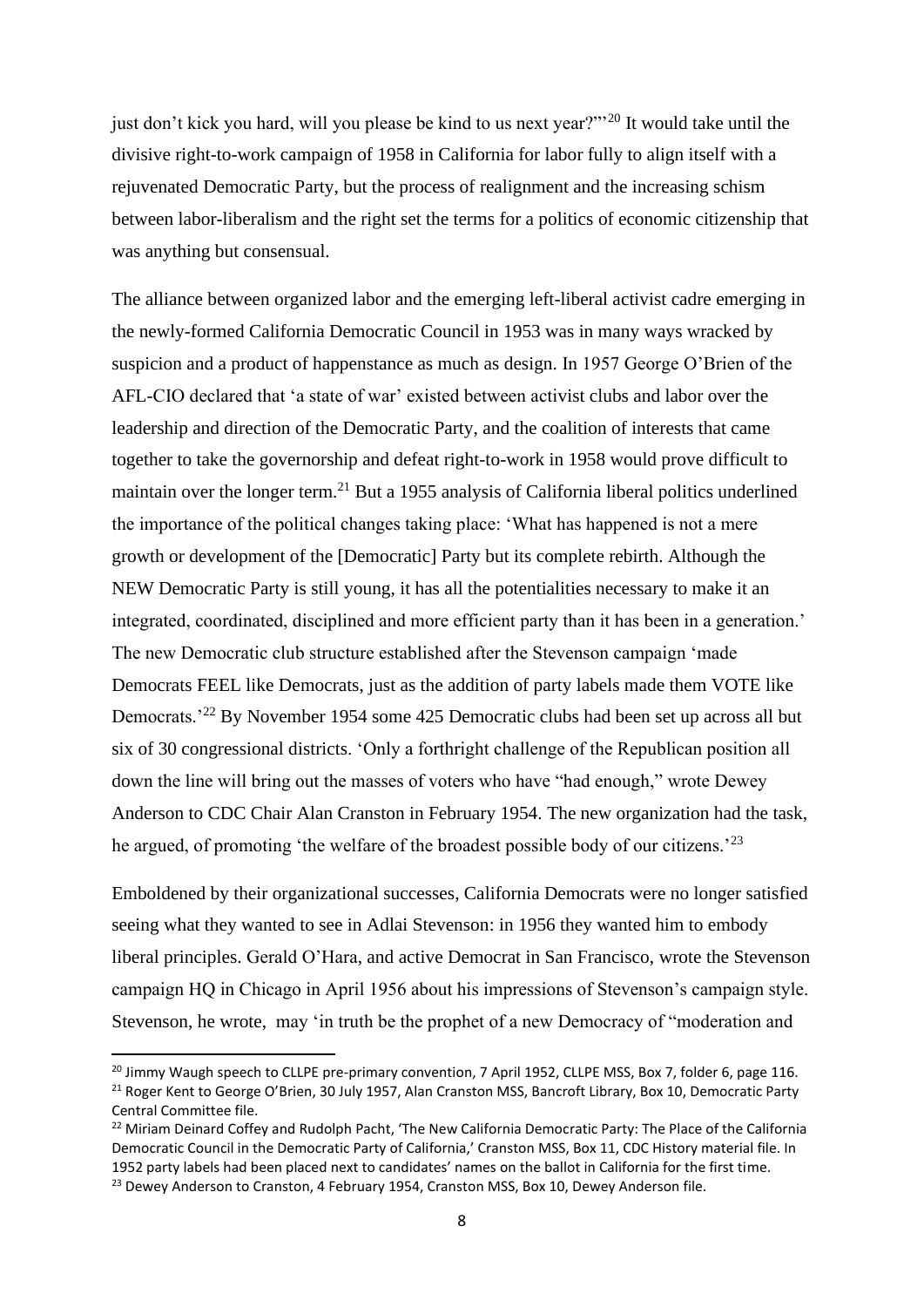just don't kick you hard, will you please be kind to us next year?"<sup>20</sup> It would take until the divisive right-to-work campaign of 1958 in California for labor fully to align itself with a rejuvenated Democratic Party, but the process of realignment and the increasing schism between labor-liberalism and the right set the terms for a politics of economic citizenship that was anything but consensual.

The alliance between organized labor and the emerging left-liberal activist cadre emerging in the newly-formed California Democratic Council in 1953 was in many ways wracked by suspicion and a product of happenstance as much as design. In 1957 George O'Brien of the AFL-CIO declared that 'a state of war' existed between activist clubs and labor over the leadership and direction of the Democratic Party, and the coalition of interests that came together to take the governorship and defeat right-to-work in 1958 would prove difficult to maintain over the longer term.<sup>21</sup> But a 1955 analysis of California liberal politics underlined the importance of the political changes taking place: 'What has happened is not a mere growth or development of the [Democratic] Party but its complete rebirth. Although the NEW Democratic Party is still young, it has all the potentialities necessary to make it an integrated, coordinated, disciplined and more efficient party than it has been in a generation.' The new Democratic club structure established after the Stevenson campaign 'made Democrats FEEL like Democrats, just as the addition of party labels made them VOTE like Democrats.'<sup>22</sup> By November 1954 some 425 Democratic clubs had been set up across all but six of 30 congressional districts. 'Only a forthright challenge of the Republican position all down the line will bring out the masses of voters who have "had enough," wrote Dewey Anderson to CDC Chair Alan Cranston in February 1954. The new organization had the task, he argued, of promoting 'the welfare of the broadest possible body of our citizens.'<sup>23</sup>

Emboldened by their organizational successes, California Democrats were no longer satisfied seeing what they wanted to see in Adlai Stevenson: in 1956 they wanted him to embody liberal principles. Gerald O'Hara, and active Democrat in San Francisco, wrote the Stevenson campaign HQ in Chicago in April 1956 about his impressions of Stevenson's campaign style. Stevenson, he wrote, may 'in truth be the prophet of a new Democracy of "moderation and

 $^{20}$  Jimmy Waugh speech to CLLPE pre-primary convention, 7 April 1952, CLLPE MSS, Box 7, folder 6, page 116. <sup>21</sup> Roger Kent to George O'Brien, 30 July 1957, Alan Cranston MSS, Bancroft Library, Box 10, Democratic Party Central Committee file.

<sup>&</sup>lt;sup>22</sup> Miriam Deinard Coffey and Rudolph Pacht, 'The New California Democratic Party: The Place of the California Democratic Council in the Democratic Party of California,' Cranston MSS, Box 11, CDC History material file. In 1952 party labels had been placed next to candidates' names on the ballot in California for the first time. <sup>23</sup> Dewey Anderson to Cranston, 4 February 1954, Cranston MSS, Box 10, Dewey Anderson file.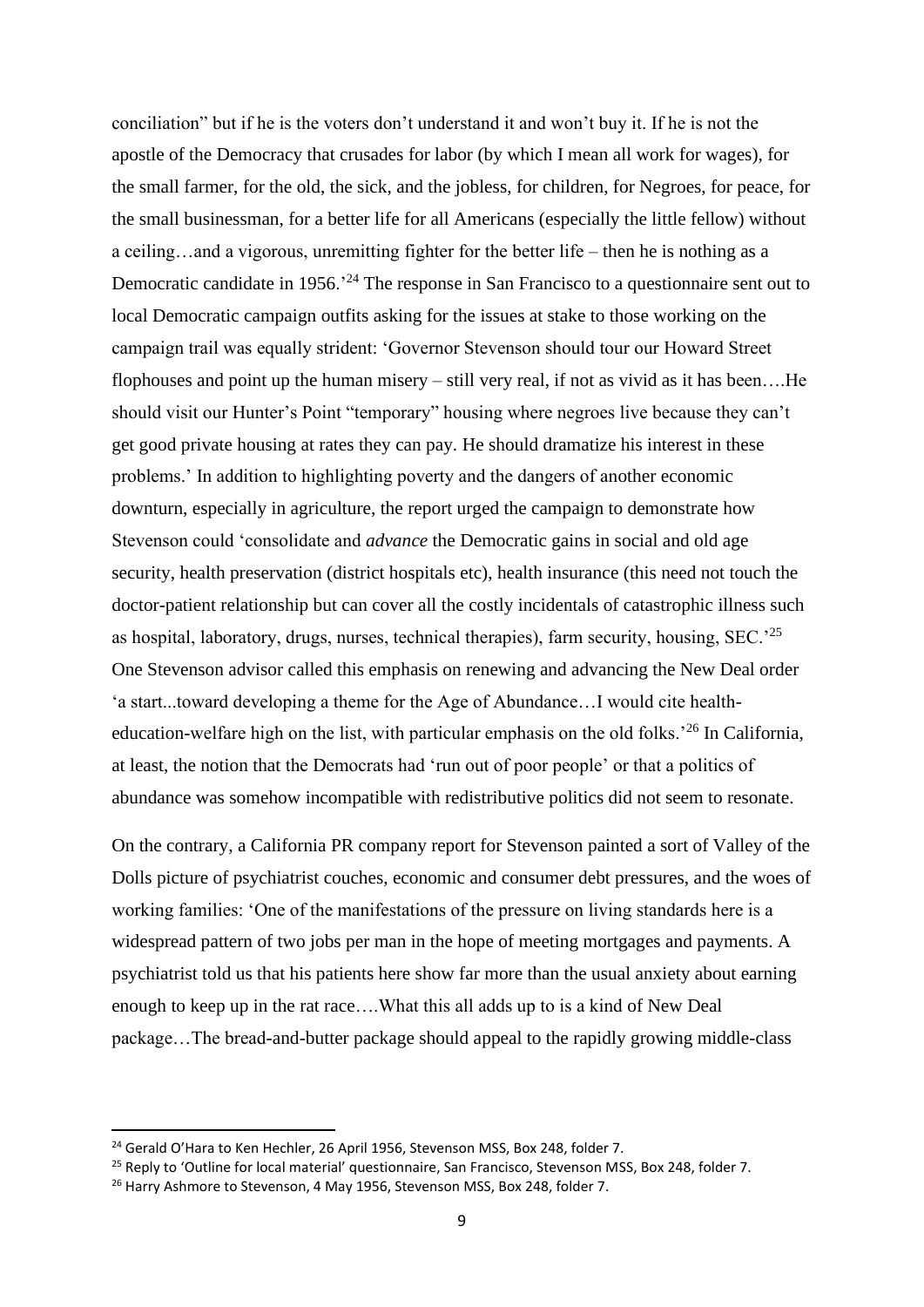conciliation" but if he is the voters don't understand it and won't buy it. If he is not the apostle of the Democracy that crusades for labor (by which I mean all work for wages), for the small farmer, for the old, the sick, and the jobless, for children, for Negroes, for peace, for the small businessman, for a better life for all Americans (especially the little fellow) without a ceiling…and a vigorous, unremitting fighter for the better life – then he is nothing as a Democratic candidate in 1956.<sup>24</sup> The response in San Francisco to a questionnaire sent out to local Democratic campaign outfits asking for the issues at stake to those working on the campaign trail was equally strident: 'Governor Stevenson should tour our Howard Street flophouses and point up the human misery – still very real, if not as vivid as it has been….He should visit our Hunter's Point "temporary" housing where negroes live because they can't get good private housing at rates they can pay. He should dramatize his interest in these problems.' In addition to highlighting poverty and the dangers of another economic downturn, especially in agriculture, the report urged the campaign to demonstrate how Stevenson could 'consolidate and *advance* the Democratic gains in social and old age security, health preservation (district hospitals etc), health insurance (this need not touch the doctor-patient relationship but can cover all the costly incidentals of catastrophic illness such as hospital, laboratory, drugs, nurses, technical therapies), farm security, housing,  $SEC.^{25}$ One Stevenson advisor called this emphasis on renewing and advancing the New Deal order 'a start...toward developing a theme for the Age of Abundance…I would cite healtheducation-welfare high on the list, with particular emphasis on the old folks.'<sup>26</sup> In California, at least, the notion that the Democrats had 'run out of poor people' or that a politics of abundance was somehow incompatible with redistributive politics did not seem to resonate.

On the contrary, a California PR company report for Stevenson painted a sort of Valley of the Dolls picture of psychiatrist couches, economic and consumer debt pressures, and the woes of working families: 'One of the manifestations of the pressure on living standards here is a widespread pattern of two jobs per man in the hope of meeting mortgages and payments. A psychiatrist told us that his patients here show far more than the usual anxiety about earning enough to keep up in the rat race….What this all adds up to is a kind of New Deal package…The bread-and-butter package should appeal to the rapidly growing middle-class

<sup>&</sup>lt;sup>24</sup> Gerald O'Hara to Ken Hechler, 26 April 1956, Stevenson MSS, Box 248, folder 7.

<sup>&</sup>lt;sup>25</sup> Reply to 'Outline for local material' questionnaire, San Francisco, Stevenson MSS, Box 248, folder 7.

<sup>&</sup>lt;sup>26</sup> Harry Ashmore to Stevenson, 4 May 1956, Stevenson MSS, Box 248, folder 7.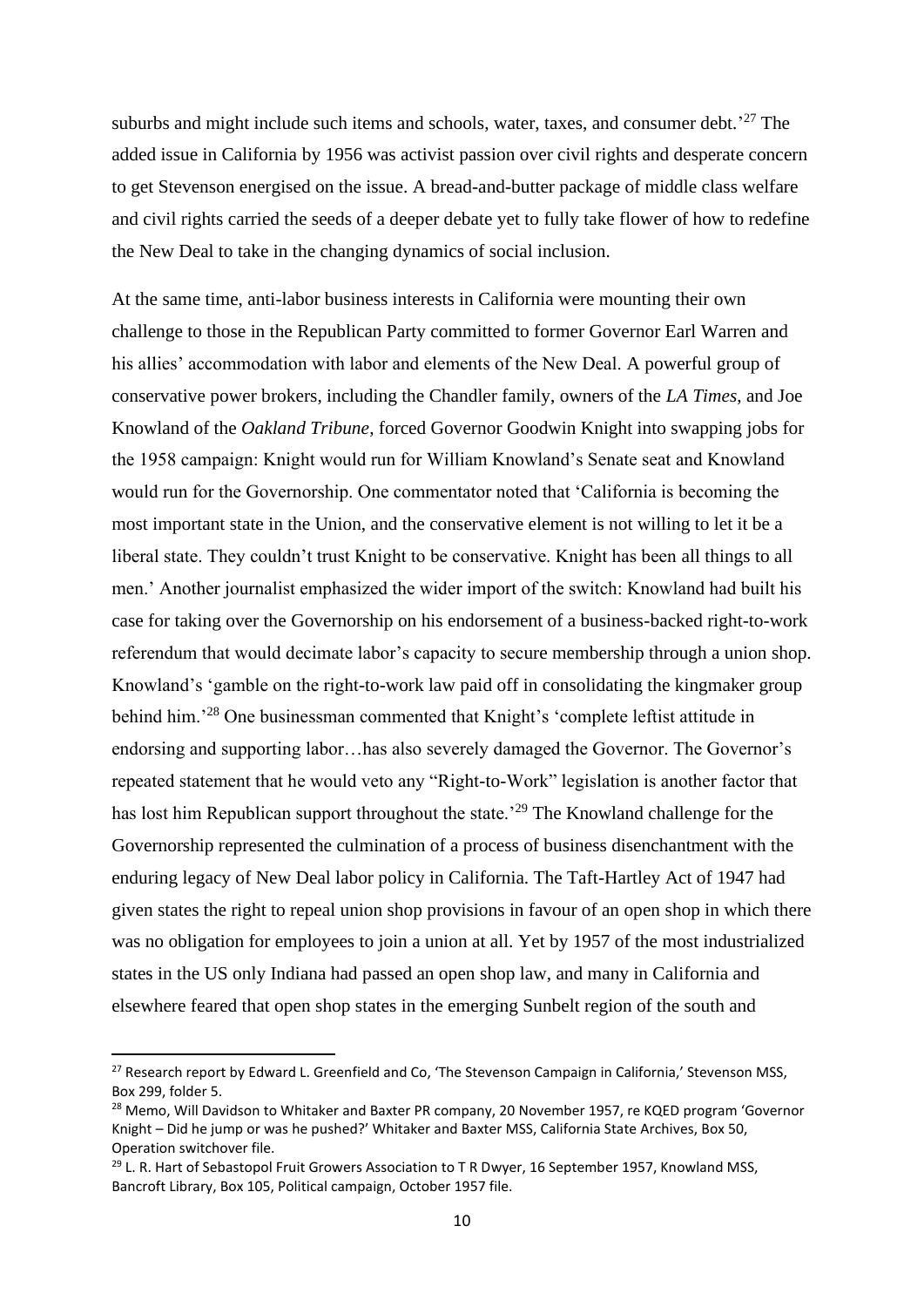suburbs and might include such items and schools, water, taxes, and consumer debt.<sup>'27</sup> The added issue in California by 1956 was activist passion over civil rights and desperate concern to get Stevenson energised on the issue. A bread-and-butter package of middle class welfare and civil rights carried the seeds of a deeper debate yet to fully take flower of how to redefine the New Deal to take in the changing dynamics of social inclusion.

At the same time, anti-labor business interests in California were mounting their own challenge to those in the Republican Party committed to former Governor Earl Warren and his allies' accommodation with labor and elements of the New Deal. A powerful group of conservative power brokers, including the Chandler family, owners of the *LA Times*, and Joe Knowland of the *Oakland Tribune*, forced Governor Goodwin Knight into swapping jobs for the 1958 campaign: Knight would run for William Knowland's Senate seat and Knowland would run for the Governorship. One commentator noted that 'California is becoming the most important state in the Union, and the conservative element is not willing to let it be a liberal state. They couldn't trust Knight to be conservative. Knight has been all things to all men.' Another journalist emphasized the wider import of the switch: Knowland had built his case for taking over the Governorship on his endorsement of a business-backed right-to-work referendum that would decimate labor's capacity to secure membership through a union shop. Knowland's 'gamble on the right-to-work law paid off in consolidating the kingmaker group behind him.'<sup>28</sup> One businessman commented that Knight's 'complete leftist attitude in endorsing and supporting labor…has also severely damaged the Governor. The Governor's repeated statement that he would veto any "Right-to-Work" legislation is another factor that has lost him Republican support throughout the state.<sup>29</sup> The Knowland challenge for the Governorship represented the culmination of a process of business disenchantment with the enduring legacy of New Deal labor policy in California. The Taft-Hartley Act of 1947 had given states the right to repeal union shop provisions in favour of an open shop in which there was no obligation for employees to join a union at all. Yet by 1957 of the most industrialized states in the US only Indiana had passed an open shop law, and many in California and elsewhere feared that open shop states in the emerging Sunbelt region of the south and

<sup>&</sup>lt;sup>27</sup> Research report by Edward L. Greenfield and Co, 'The Stevenson Campaign in California,' Stevenson MSS, Box 299, folder 5.

<sup>&</sup>lt;sup>28</sup> Memo, Will Davidson to Whitaker and Baxter PR company, 20 November 1957, re KQED program 'Governor Knight – Did he jump or was he pushed?' Whitaker and Baxter MSS, California State Archives, Box 50, Operation switchover file.

 $^{29}$  L. R. Hart of Sebastopol Fruit Growers Association to T R Dwyer, 16 September 1957, Knowland MSS, Bancroft Library, Box 105, Political campaign, October 1957 file.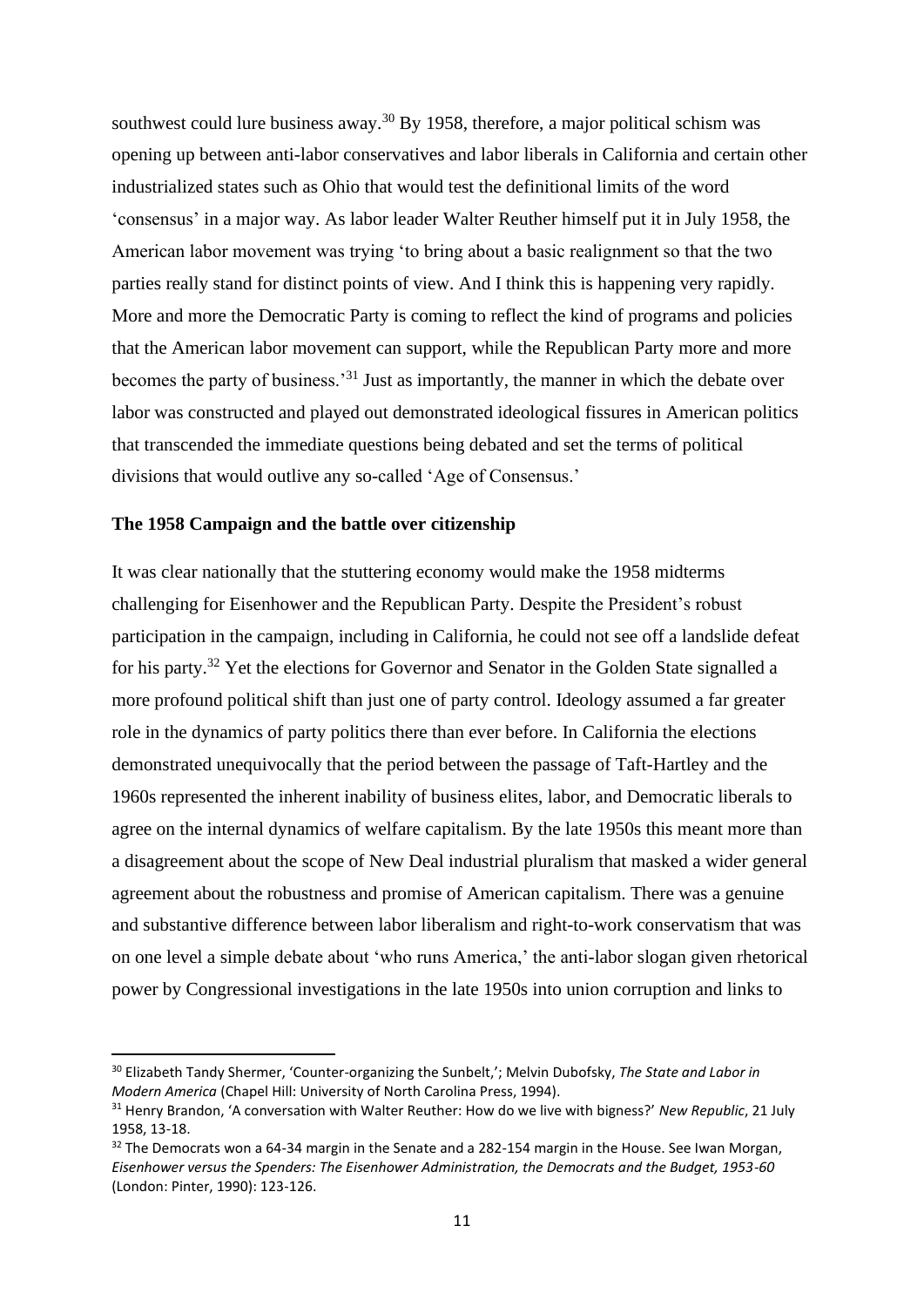southwest could lure business away.<sup>30</sup> By 1958, therefore, a major political schism was opening up between anti-labor conservatives and labor liberals in California and certain other industrialized states such as Ohio that would test the definitional limits of the word 'consensus' in a major way. As labor leader Walter Reuther himself put it in July 1958, the American labor movement was trying 'to bring about a basic realignment so that the two parties really stand for distinct points of view. And I think this is happening very rapidly. More and more the Democratic Party is coming to reflect the kind of programs and policies that the American labor movement can support, while the Republican Party more and more becomes the party of business.'<sup>31</sup> Just as importantly, the manner in which the debate over labor was constructed and played out demonstrated ideological fissures in American politics that transcended the immediate questions being debated and set the terms of political divisions that would outlive any so-called 'Age of Consensus.'

## **The 1958 Campaign and the battle over citizenship**

It was clear nationally that the stuttering economy would make the 1958 midterms challenging for Eisenhower and the Republican Party. Despite the President's robust participation in the campaign, including in California, he could not see off a landslide defeat for his party.<sup>32</sup> Yet the elections for Governor and Senator in the Golden State signalled a more profound political shift than just one of party control. Ideology assumed a far greater role in the dynamics of party politics there than ever before. In California the elections demonstrated unequivocally that the period between the passage of Taft-Hartley and the 1960s represented the inherent inability of business elites, labor, and Democratic liberals to agree on the internal dynamics of welfare capitalism. By the late 1950s this meant more than a disagreement about the scope of New Deal industrial pluralism that masked a wider general agreement about the robustness and promise of American capitalism. There was a genuine and substantive difference between labor liberalism and right-to-work conservatism that was on one level a simple debate about 'who runs America,' the anti-labor slogan given rhetorical power by Congressional investigations in the late 1950s into union corruption and links to

<sup>30</sup> Elizabeth Tandy Shermer, 'Counter-organizing the Sunbelt,'; Melvin Dubofsky, *The State and Labor in Modern America* (Chapel Hill: University of North Carolina Press, 1994).

<sup>31</sup> Henry Brandon, 'A conversation with Walter Reuther: How do we live with bigness?' *New Republic*, 21 July 1958, 13-18.

 $32$  The Democrats won a 64-34 margin in the Senate and a 282-154 margin in the House. See Iwan Morgan, *Eisenhower versus the Spenders: The Eisenhower Administration, the Democrats and the Budget, 1953-60*  (London: Pinter, 1990): 123-126.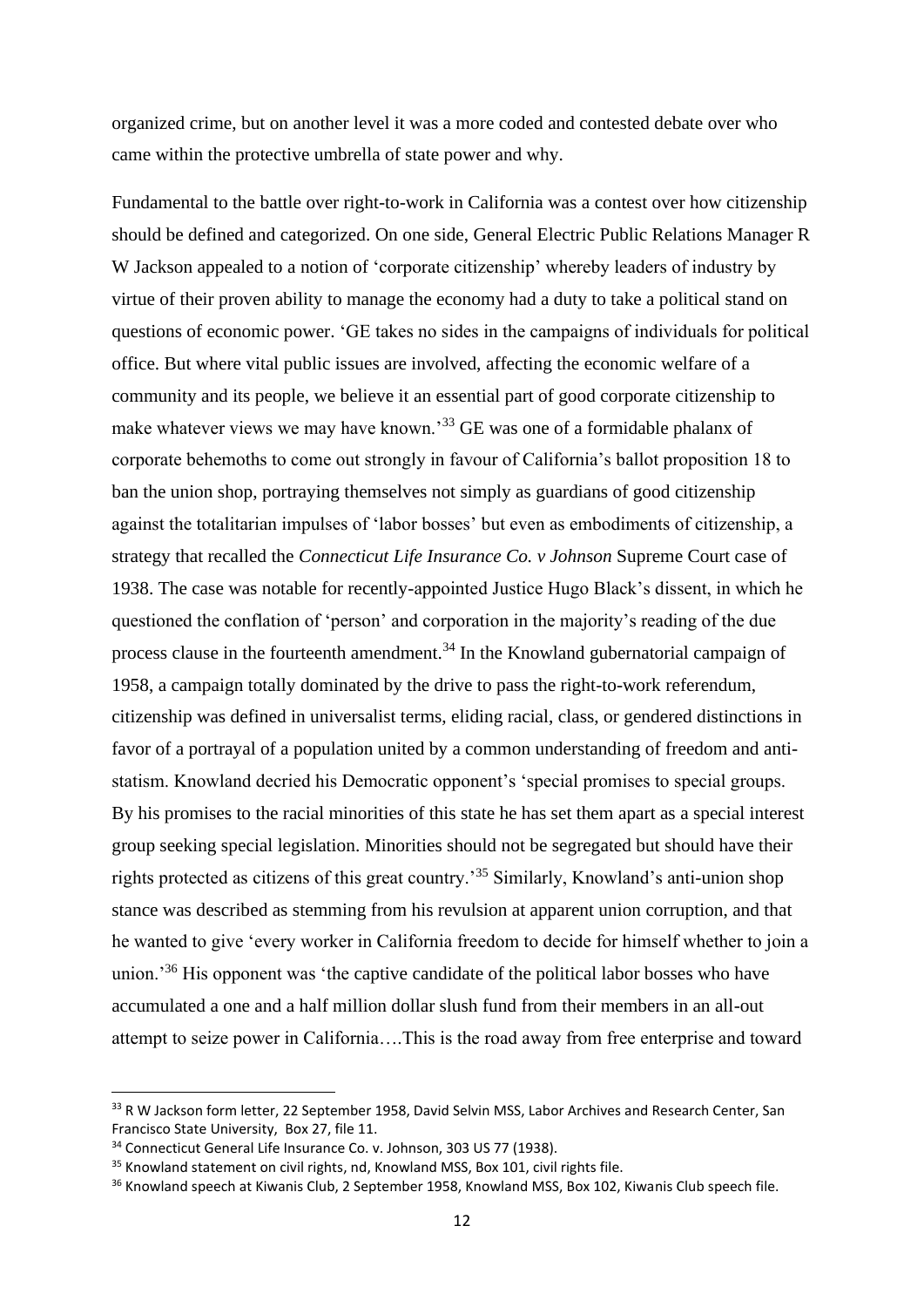organized crime, but on another level it was a more coded and contested debate over who came within the protective umbrella of state power and why.

Fundamental to the battle over right-to-work in California was a contest over how citizenship should be defined and categorized. On one side, General Electric Public Relations Manager R W Jackson appealed to a notion of 'corporate citizenship' whereby leaders of industry by virtue of their proven ability to manage the economy had a duty to take a political stand on questions of economic power. 'GE takes no sides in the campaigns of individuals for political office. But where vital public issues are involved, affecting the economic welfare of a community and its people, we believe it an essential part of good corporate citizenship to make whatever views we may have known.'<sup>33</sup> GE was one of a formidable phalanx of corporate behemoths to come out strongly in favour of California's ballot proposition 18 to ban the union shop, portraying themselves not simply as guardians of good citizenship against the totalitarian impulses of 'labor bosses' but even as embodiments of citizenship, a strategy that recalled the *Connecticut Life Insurance Co. v Johnson* Supreme Court case of 1938. The case was notable for recently-appointed Justice Hugo Black's dissent, in which he questioned the conflation of 'person' and corporation in the majority's reading of the due process clause in the fourteenth amendment.<sup>34</sup> In the Knowland gubernatorial campaign of 1958, a campaign totally dominated by the drive to pass the right-to-work referendum, citizenship was defined in universalist terms, eliding racial, class, or gendered distinctions in favor of a portrayal of a population united by a common understanding of freedom and antistatism. Knowland decried his Democratic opponent's 'special promises to special groups. By his promises to the racial minorities of this state he has set them apart as a special interest group seeking special legislation. Minorities should not be segregated but should have their rights protected as citizens of this great country.'<sup>35</sup> Similarly, Knowland's anti-union shop stance was described as stemming from his revulsion at apparent union corruption, and that he wanted to give 'every worker in California freedom to decide for himself whether to join a union.<sup>36</sup> His opponent was 'the captive candidate of the political labor bosses who have accumulated a one and a half million dollar slush fund from their members in an all-out attempt to seize power in California….This is the road away from free enterprise and toward

<sup>33</sup> R W Jackson form letter, 22 September 1958, David Selvin MSS, Labor Archives and Research Center, San Francisco State University, Box 27, file 11.

<sup>34</sup> Connecticut General Life Insurance Co. v. Johnson, 303 US 77 (1938).

 $35$  Knowland statement on civil rights, nd, Knowland MSS, Box 101, civil rights file.

<sup>&</sup>lt;sup>36</sup> Knowland speech at Kiwanis Club, 2 September 1958, Knowland MSS, Box 102, Kiwanis Club speech file.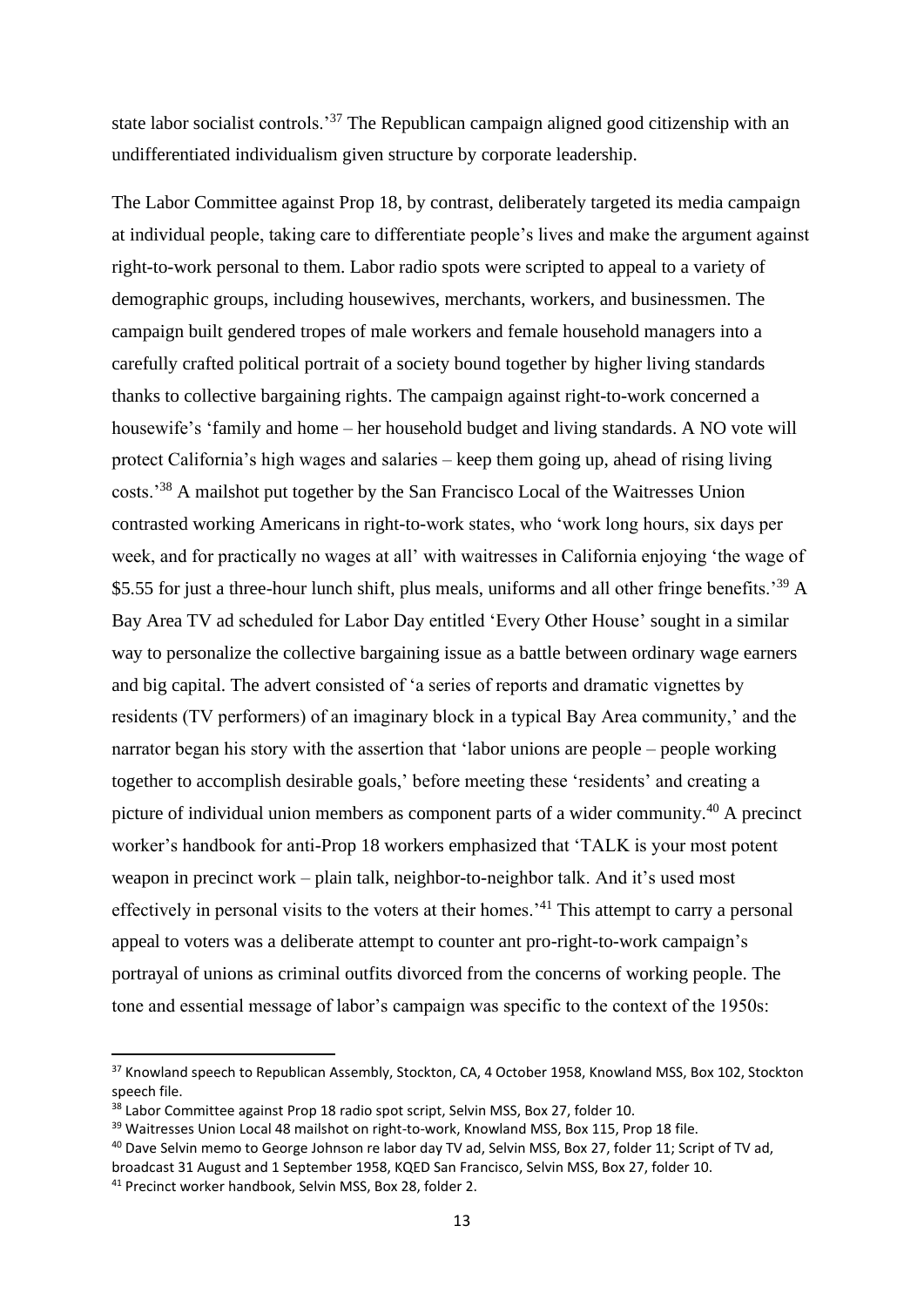state labor socialist controls.<sup>37</sup> The Republican campaign aligned good citizenship with an undifferentiated individualism given structure by corporate leadership.

The Labor Committee against Prop 18, by contrast, deliberately targeted its media campaign at individual people, taking care to differentiate people's lives and make the argument against right-to-work personal to them. Labor radio spots were scripted to appeal to a variety of demographic groups, including housewives, merchants, workers, and businessmen. The campaign built gendered tropes of male workers and female household managers into a carefully crafted political portrait of a society bound together by higher living standards thanks to collective bargaining rights. The campaign against right-to-work concerned a housewife's 'family and home – her household budget and living standards. A NO vote will protect California's high wages and salaries – keep them going up, ahead of rising living costs.'<sup>38</sup> A mailshot put together by the San Francisco Local of the Waitresses Union contrasted working Americans in right-to-work states, who 'work long hours, six days per week, and for practically no wages at all' with waitresses in California enjoying 'the wage of \$5.55 for just a three-hour lunch shift, plus meals, uniforms and all other fringe benefits.<sup>39</sup> A Bay Area TV ad scheduled for Labor Day entitled 'Every Other House' sought in a similar way to personalize the collective bargaining issue as a battle between ordinary wage earners and big capital. The advert consisted of 'a series of reports and dramatic vignettes by residents (TV performers) of an imaginary block in a typical Bay Area community,' and the narrator began his story with the assertion that 'labor unions are people – people working together to accomplish desirable goals,' before meeting these 'residents' and creating a picture of individual union members as component parts of a wider community.<sup>40</sup> A precinct worker's handbook for anti-Prop 18 workers emphasized that 'TALK is your most potent weapon in precinct work – plain talk, neighbor-to-neighbor talk. And it's used most effectively in personal visits to the voters at their homes.'<sup>41</sup> This attempt to carry a personal appeal to voters was a deliberate attempt to counter ant pro-right-to-work campaign's portrayal of unions as criminal outfits divorced from the concerns of working people. The tone and essential message of labor's campaign was specific to the context of the 1950s:

<sup>&</sup>lt;sup>37</sup> Knowland speech to Republican Assembly, Stockton, CA, 4 October 1958, Knowland MSS, Box 102, Stockton speech file.

<sup>&</sup>lt;sup>38</sup> Labor Committee against Prop 18 radio spot script, Selvin MSS, Box 27, folder 10.

<sup>&</sup>lt;sup>39</sup> Waitresses Union Local 48 mailshot on right-to-work, Knowland MSS, Box 115, Prop 18 file.

<sup>40</sup> Dave Selvin memo to George Johnson re labor day TV ad, Selvin MSS, Box 27, folder 11; Script of TV ad,

broadcast 31 August and 1 September 1958, KQED San Francisco, Selvin MSS, Box 27, folder 10.

<sup>41</sup> Precinct worker handbook, Selvin MSS, Box 28, folder 2.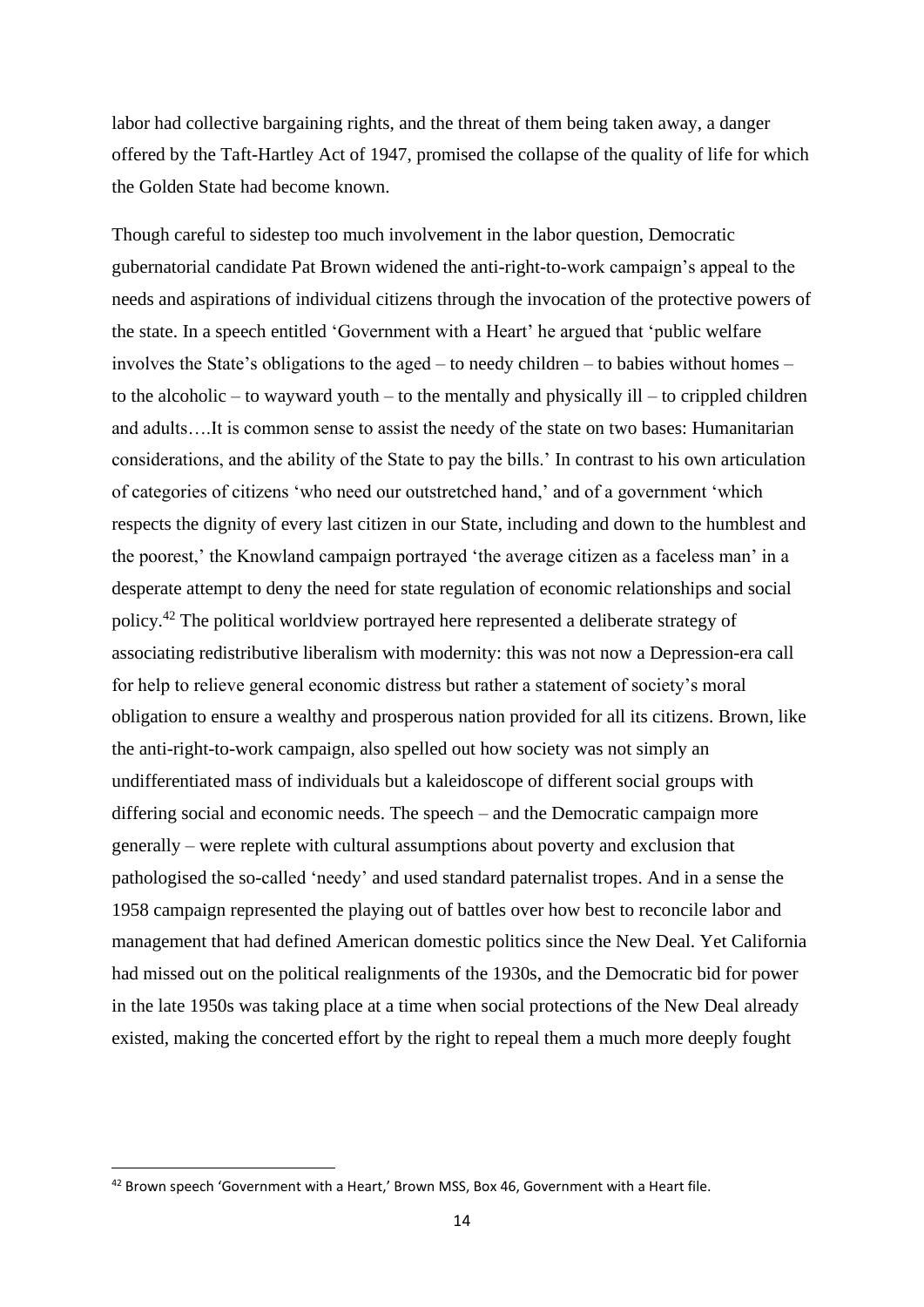labor had collective bargaining rights, and the threat of them being taken away, a danger offered by the Taft-Hartley Act of 1947, promised the collapse of the quality of life for which the Golden State had become known.

Though careful to sidestep too much involvement in the labor question, Democratic gubernatorial candidate Pat Brown widened the anti-right-to-work campaign's appeal to the needs and aspirations of individual citizens through the invocation of the protective powers of the state. In a speech entitled 'Government with a Heart' he argued that 'public welfare involves the State's obligations to the aged – to needy children – to babies without homes – to the alcoholic – to wayward youth – to the mentally and physically ill – to crippled children and adults….It is common sense to assist the needy of the state on two bases: Humanitarian considerations, and the ability of the State to pay the bills.' In contrast to his own articulation of categories of citizens 'who need our outstretched hand,' and of a government 'which respects the dignity of every last citizen in our State, including and down to the humblest and the poorest,' the Knowland campaign portrayed 'the average citizen as a faceless man' in a desperate attempt to deny the need for state regulation of economic relationships and social policy.<sup>42</sup> The political worldview portrayed here represented a deliberate strategy of associating redistributive liberalism with modernity: this was not now a Depression-era call for help to relieve general economic distress but rather a statement of society's moral obligation to ensure a wealthy and prosperous nation provided for all its citizens. Brown, like the anti-right-to-work campaign, also spelled out how society was not simply an undifferentiated mass of individuals but a kaleidoscope of different social groups with differing social and economic needs. The speech – and the Democratic campaign more generally – were replete with cultural assumptions about poverty and exclusion that pathologised the so-called 'needy' and used standard paternalist tropes. And in a sense the 1958 campaign represented the playing out of battles over how best to reconcile labor and management that had defined American domestic politics since the New Deal. Yet California had missed out on the political realignments of the 1930s, and the Democratic bid for power in the late 1950s was taking place at a time when social protections of the New Deal already existed, making the concerted effort by the right to repeal them a much more deeply fought

<sup>&</sup>lt;sup>42</sup> Brown speech 'Government with a Heart,' Brown MSS, Box 46, Government with a Heart file.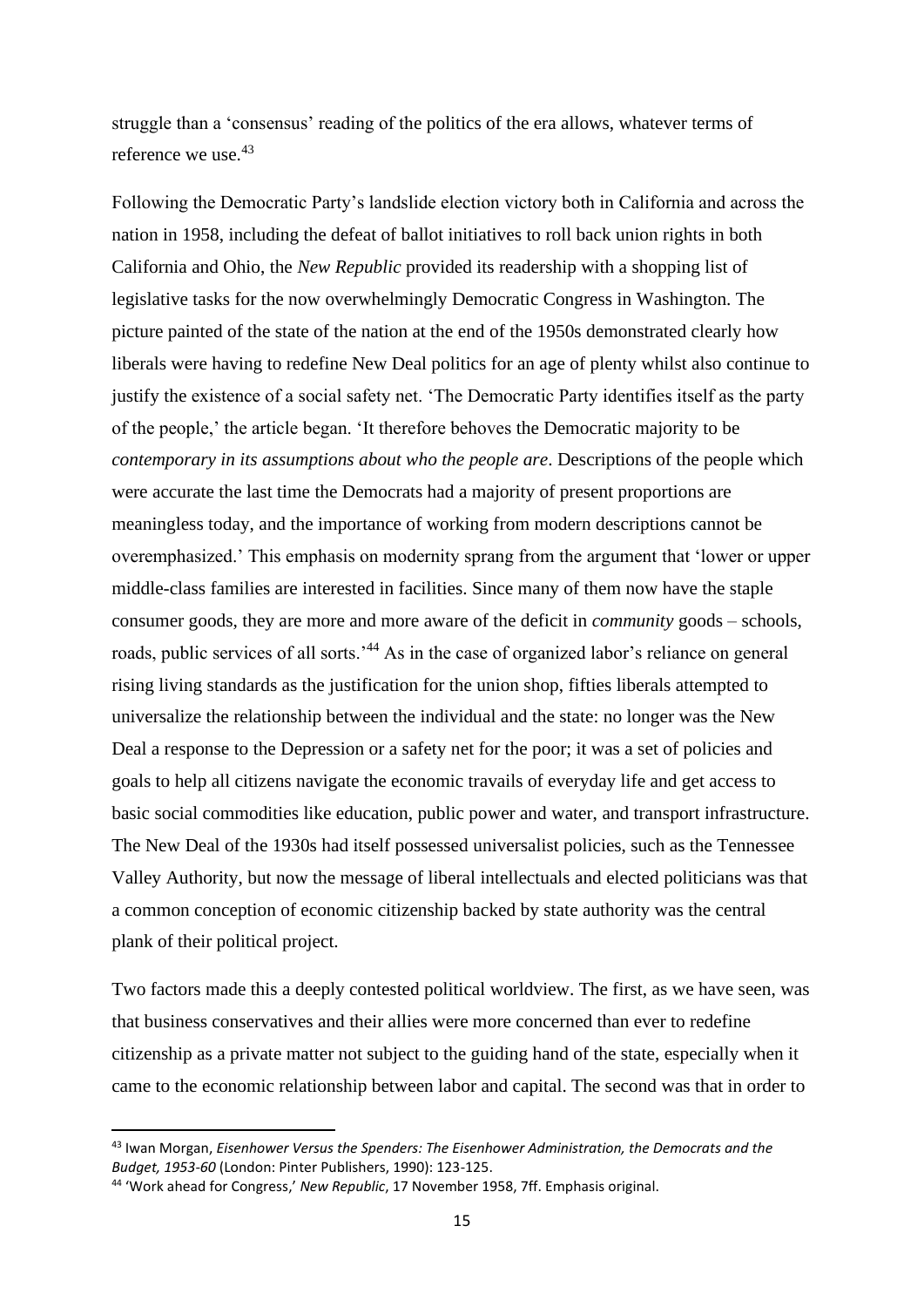struggle than a 'consensus' reading of the politics of the era allows, whatever terms of reference we use <sup>43</sup>

Following the Democratic Party's landslide election victory both in California and across the nation in 1958, including the defeat of ballot initiatives to roll back union rights in both California and Ohio, the *New Republic* provided its readership with a shopping list of legislative tasks for the now overwhelmingly Democratic Congress in Washington. The picture painted of the state of the nation at the end of the 1950s demonstrated clearly how liberals were having to redefine New Deal politics for an age of plenty whilst also continue to justify the existence of a social safety net. 'The Democratic Party identifies itself as the party of the people,' the article began. 'It therefore behoves the Democratic majority to be *contemporary in its assumptions about who the people are*. Descriptions of the people which were accurate the last time the Democrats had a majority of present proportions are meaningless today, and the importance of working from modern descriptions cannot be overemphasized.' This emphasis on modernity sprang from the argument that 'lower or upper middle-class families are interested in facilities. Since many of them now have the staple consumer goods, they are more and more aware of the deficit in *community* goods – schools, roads, public services of all sorts.<sup>'44</sup> As in the case of organized labor's reliance on general rising living standards as the justification for the union shop, fifties liberals attempted to universalize the relationship between the individual and the state: no longer was the New Deal a response to the Depression or a safety net for the poor; it was a set of policies and goals to help all citizens navigate the economic travails of everyday life and get access to basic social commodities like education, public power and water, and transport infrastructure. The New Deal of the 1930s had itself possessed universalist policies, such as the Tennessee Valley Authority, but now the message of liberal intellectuals and elected politicians was that a common conception of economic citizenship backed by state authority was the central plank of their political project.

Two factors made this a deeply contested political worldview. The first, as we have seen, was that business conservatives and their allies were more concerned than ever to redefine citizenship as a private matter not subject to the guiding hand of the state, especially when it came to the economic relationship between labor and capital. The second was that in order to

<sup>43</sup> Iwan Morgan, *Eisenhower Versus the Spenders: The Eisenhower Administration, the Democrats and the Budget, 1953-60* (London: Pinter Publishers, 1990): 123-125.

<sup>44</sup> 'Work ahead for Congress,' *New Republic*, 17 November 1958, 7ff. Emphasis original.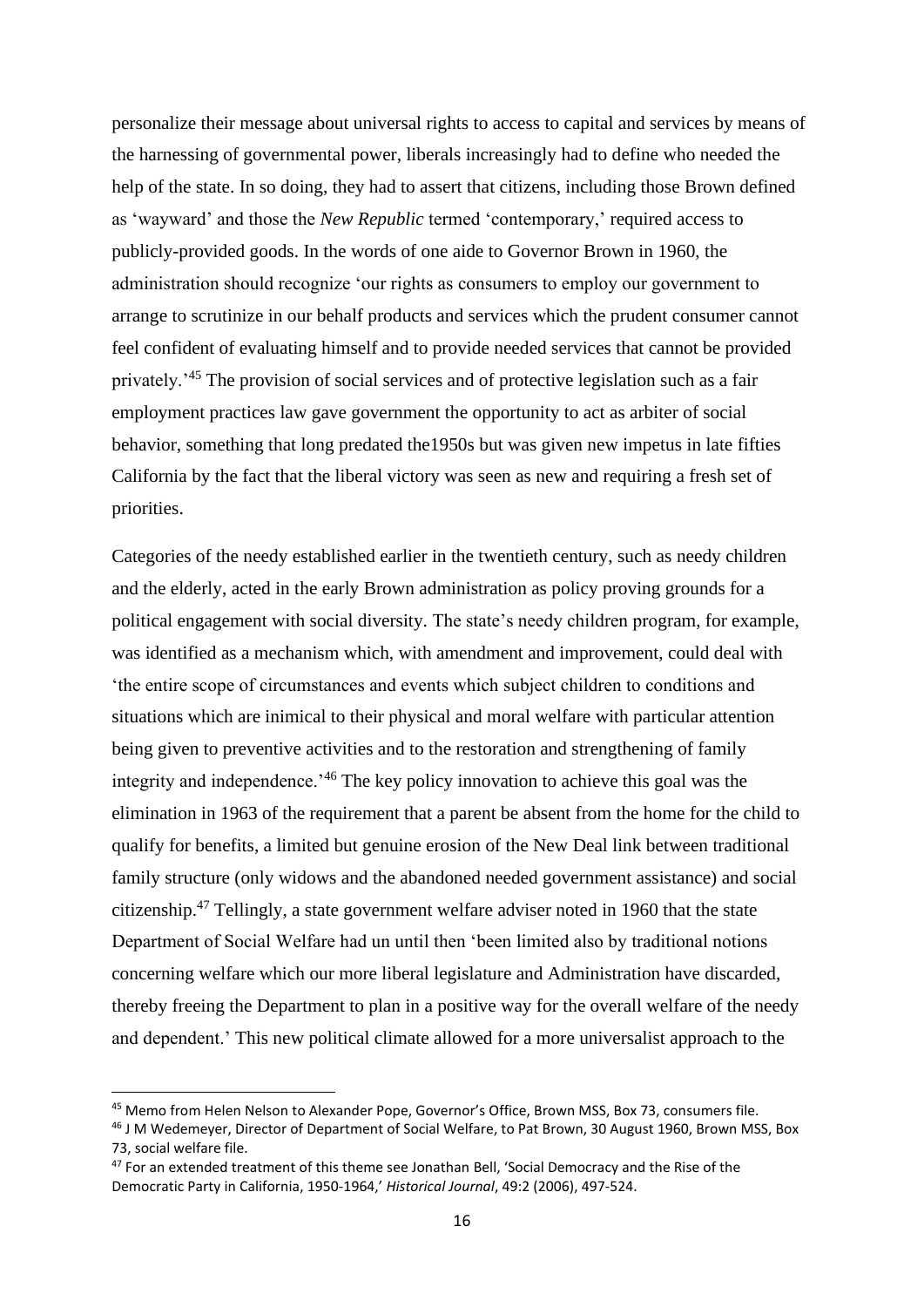personalize their message about universal rights to access to capital and services by means of the harnessing of governmental power, liberals increasingly had to define who needed the help of the state. In so doing, they had to assert that citizens, including those Brown defined as 'wayward' and those the *New Republic* termed 'contemporary,' required access to publicly-provided goods. In the words of one aide to Governor Brown in 1960, the administration should recognize 'our rights as consumers to employ our government to arrange to scrutinize in our behalf products and services which the prudent consumer cannot feel confident of evaluating himself and to provide needed services that cannot be provided privately.'<sup>45</sup> The provision of social services and of protective legislation such as a fair employment practices law gave government the opportunity to act as arbiter of social behavior, something that long predated the1950s but was given new impetus in late fifties California by the fact that the liberal victory was seen as new and requiring a fresh set of priorities.

Categories of the needy established earlier in the twentieth century, such as needy children and the elderly, acted in the early Brown administration as policy proving grounds for a political engagement with social diversity. The state's needy children program, for example, was identified as a mechanism which, with amendment and improvement, could deal with 'the entire scope of circumstances and events which subject children to conditions and situations which are inimical to their physical and moral welfare with particular attention being given to preventive activities and to the restoration and strengthening of family integrity and independence.'<sup>46</sup> The key policy innovation to achieve this goal was the elimination in 1963 of the requirement that a parent be absent from the home for the child to qualify for benefits, a limited but genuine erosion of the New Deal link between traditional family structure (only widows and the abandoned needed government assistance) and social citizenship.<sup>47</sup> Tellingly, a state government welfare adviser noted in 1960 that the state Department of Social Welfare had un until then 'been limited also by traditional notions concerning welfare which our more liberal legislature and Administration have discarded, thereby freeing the Department to plan in a positive way for the overall welfare of the needy and dependent.' This new political climate allowed for a more universalist approach to the

<sup>45</sup> Memo from Helen Nelson to Alexander Pope, Governor's Office, Brown MSS, Box 73, consumers file.

<sup>46</sup> J M Wedemeyer, Director of Department of Social Welfare, to Pat Brown, 30 August 1960, Brown MSS, Box 73, social welfare file.

<sup>&</sup>lt;sup>47</sup> For an extended treatment of this theme see Jonathan Bell, 'Social Democracy and the Rise of the Democratic Party in California, 1950-1964,' *Historical Journal*, 49:2 (2006), 497-524.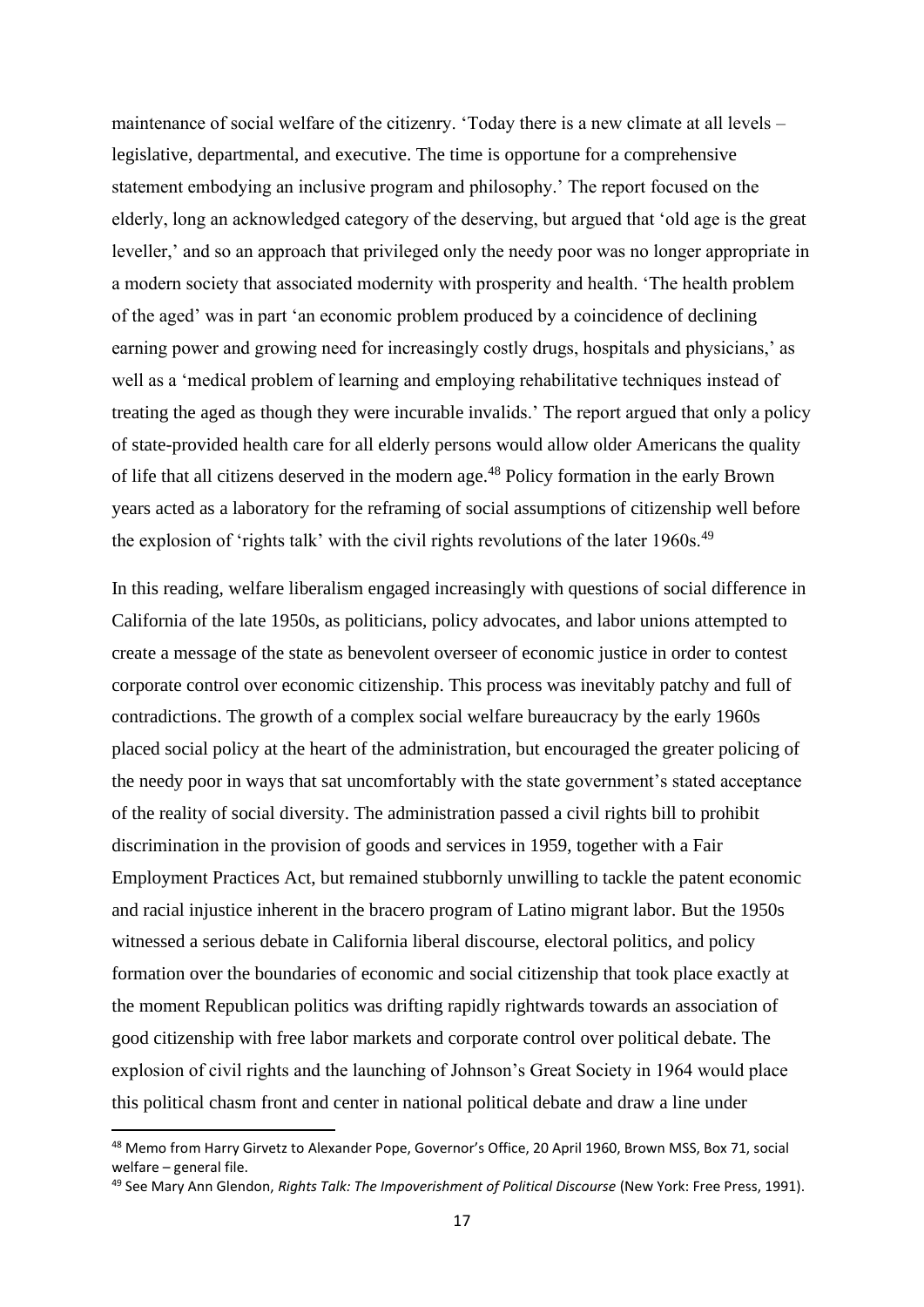maintenance of social welfare of the citizenry. 'Today there is a new climate at all levels – legislative, departmental, and executive. The time is opportune for a comprehensive statement embodying an inclusive program and philosophy.' The report focused on the elderly, long an acknowledged category of the deserving, but argued that 'old age is the great leveller,' and so an approach that privileged only the needy poor was no longer appropriate in a modern society that associated modernity with prosperity and health. 'The health problem of the aged' was in part 'an economic problem produced by a coincidence of declining earning power and growing need for increasingly costly drugs, hospitals and physicians,' as well as a 'medical problem of learning and employing rehabilitative techniques instead of treating the aged as though they were incurable invalids.' The report argued that only a policy of state-provided health care for all elderly persons would allow older Americans the quality of life that all citizens deserved in the modern age.<sup>48</sup> Policy formation in the early Brown years acted as a laboratory for the reframing of social assumptions of citizenship well before the explosion of 'rights talk' with the civil rights revolutions of the later 1960s.<sup>49</sup>

In this reading, welfare liberalism engaged increasingly with questions of social difference in California of the late 1950s, as politicians, policy advocates, and labor unions attempted to create a message of the state as benevolent overseer of economic justice in order to contest corporate control over economic citizenship. This process was inevitably patchy and full of contradictions. The growth of a complex social welfare bureaucracy by the early 1960s placed social policy at the heart of the administration, but encouraged the greater policing of the needy poor in ways that sat uncomfortably with the state government's stated acceptance of the reality of social diversity. The administration passed a civil rights bill to prohibit discrimination in the provision of goods and services in 1959, together with a Fair Employment Practices Act, but remained stubbornly unwilling to tackle the patent economic and racial injustice inherent in the bracero program of Latino migrant labor. But the 1950s witnessed a serious debate in California liberal discourse, electoral politics, and policy formation over the boundaries of economic and social citizenship that took place exactly at the moment Republican politics was drifting rapidly rightwards towards an association of good citizenship with free labor markets and corporate control over political debate. The explosion of civil rights and the launching of Johnson's Great Society in 1964 would place this political chasm front and center in national political debate and draw a line under

<sup>48</sup> Memo from Harry Girvetz to Alexander Pope, Governor's Office, 20 April 1960, Brown MSS, Box 71, social welfare – general file.

<sup>&</sup>lt;sup>49</sup> See Mary Ann Glendon, *Rights Talk: The Impoverishment of Political Discourse* (New York: Free Press, 1991).